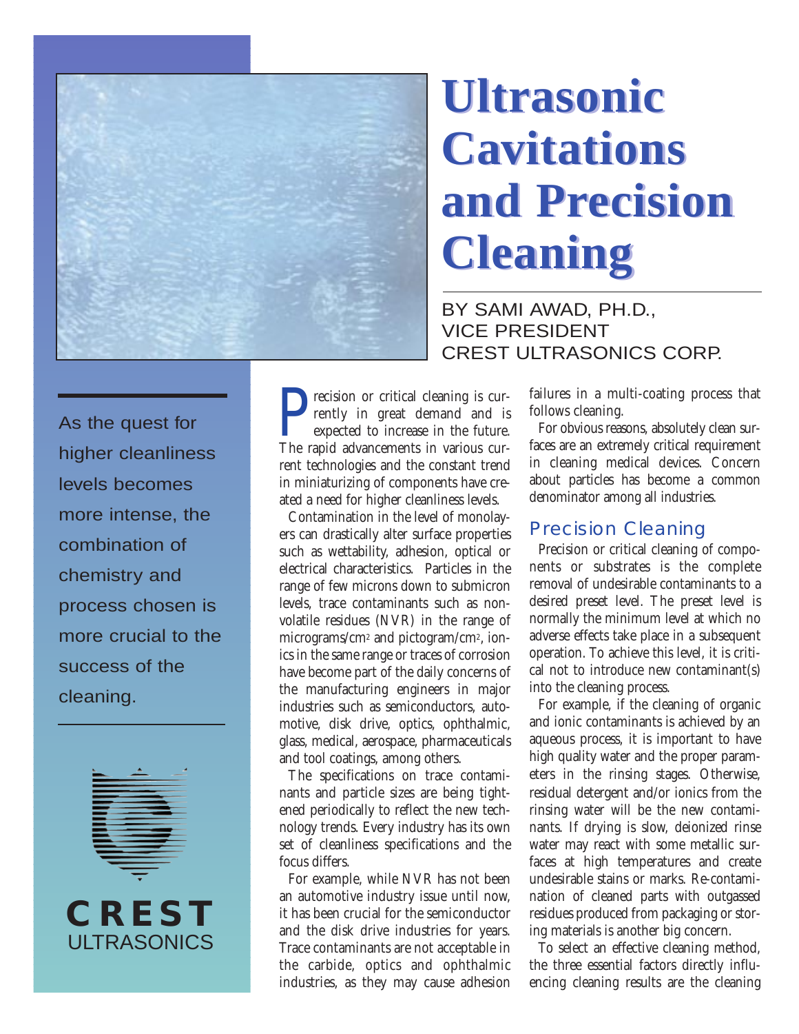

# **Ultrasonic Ultrasonic Cavitations Cavitations and Precision and Precision Cleaning Cleaning**

BY SAMI AWAD, PH.D., VICE PRESIDENT CREST ULTRASONICS CORP.

As the quest for higher cleanliness levels becomes more intense, the combination of chemistry and process chosen is more crucial to the success of the cleaning.



**CREST**

ULTRASONICS

**P**recision or critical cleaning is currently in great demand and is expected to increase in the future.<br>The ranid advancements in various currently in great demand and is expected to increase in the future. The rapid advancements in various current technologies and the constant trend in miniaturizing of components have created a need for higher cleanliness levels.

Contamination in the level of monolayers can drastically alter surface properties such as wettability, adhesion, optical or electrical characteristics. Particles in the range of few microns down to submicron levels, trace contaminants such as nonvolatile residues (NVR) in the range of micrograms/cm2 and pictogram/cm2, ionics in the same range or traces of corrosion have become part of the daily concerns of the manufacturing engineers in major industries such as semiconductors, automotive, disk drive, optics, ophthalmic, glass, medical, aerospace, pharmaceuticals and tool coatings, among others.

The specifications on trace contaminants and particle sizes are being tightened periodically to reflect the new technology trends. Every industry has its own set of cleanliness specifications and the focus differs.

For example, while NVR has not been an automotive industry issue until now, it has been crucial for the semiconductor and the disk drive industries for years. Trace contaminants are not acceptable in the carbide, optics and ophthalmic industries, as they may cause adhesion failures in a multi-coating process that follows cleaning.

For obvious reasons, absolutely clean surfaces are an extremely critical requirement in cleaning medical devices. Concern about particles has become a common denominator among all industries.

#### Precision Cleaning

Precision or critical cleaning of components or substrates is the complete removal of undesirable contaminants to a desired preset level. The preset level is normally the minimum level at which no adverse effects take place in a subsequent operation. To achieve this level, it is critical not to introduce new contaminant(s) into the cleaning process.

For example, if the cleaning of organic and ionic contaminants is achieved by an aqueous process, it is important to have high quality water and the proper parameters in the rinsing stages. Otherwise, residual detergent and/or ionics from the rinsing water will be the new contaminants. If drying is slow, deionized rinse water may react with some metallic surfaces at high temperatures and create undesirable stains or marks. Re-contamination of cleaned parts with outgassed residues produced from packaging or storing materials is another big concern.

To select an effective cleaning method, the three essential factors directly influencing cleaning results are the cleaning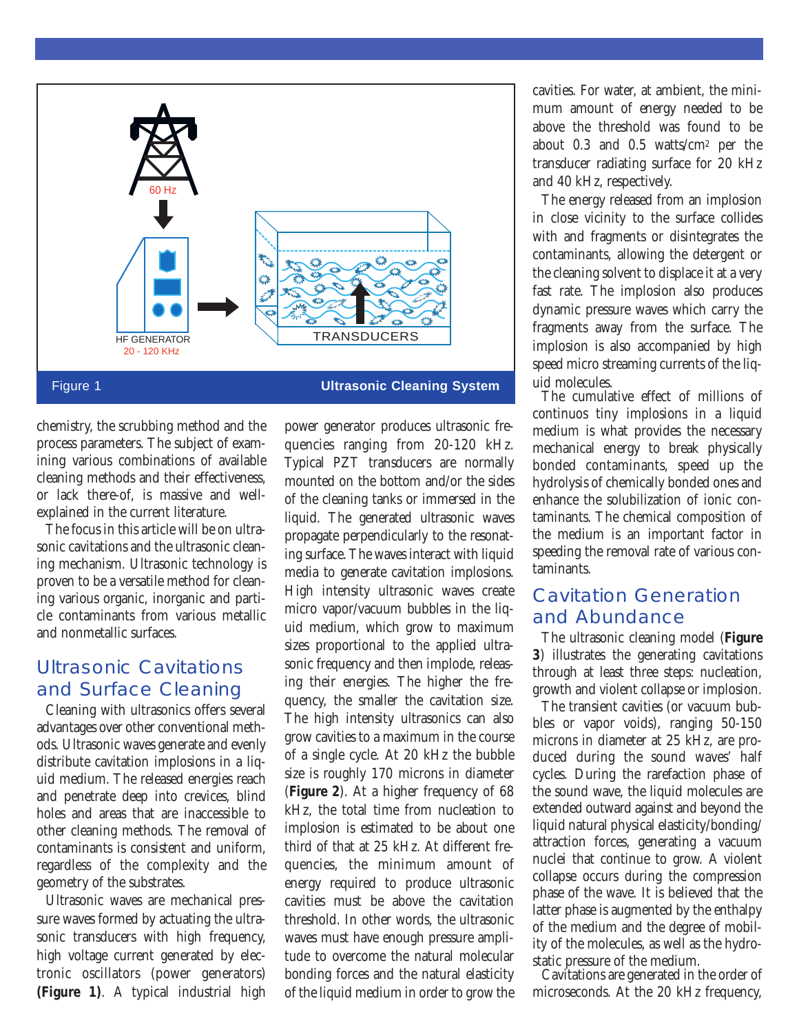

Figure 1 **Ultrasonic Cleaning System**

chemistry, the scrubbing method and the process parameters. The subject of examining various combinations of available cleaning methods and their effectiveness, or lack there-of, is massive and wellexplained in the current literature.

The focus in this article will be on ultrasonic cavitations and the ultrasonic cleaning mechanism. Ultrasonic technology is proven to be a versatile method for cleaning various organic, inorganic and particle contaminants from various metallic and nonmetallic surfaces.

### Ultrasonic Cavitations and Surface Cleaning

Cleaning with ultrasonics offers several advantages over other conventional methods. Ultrasonic waves generate and evenly distribute cavitation implosions in a liquid medium. The released energies reach and penetrate deep into crevices, blind holes and areas that are inaccessible to other cleaning methods. The removal of contaminants is consistent and uniform, regardless of the complexity and the geometry of the substrates.

Ultrasonic waves are mechanical pressure waves formed by actuating the ultrasonic transducers with high frequency, high voltage current generated by electronic oscillators (power generators) **(Figure 1)**. A typical industrial high

power generator produces ultrasonic frequencies ranging from 20-120 kHz. Typical PZT transducers are normally mounted on the bottom and/or the sides of the cleaning tanks or immersed in the liquid. The generated ultrasonic waves propagate perpendicularly to the resonating surface. The waves interact with liquid media to generate cavitation implosions. High intensity ultrasonic waves create micro vapor/vacuum bubbles in the liquid medium, which grow to maximum sizes proportional to the applied ultrasonic frequency and then implode, releasing their energies. The higher the frequency, the smaller the cavitation size. The high intensity ultrasonics can also grow cavities to a maximum in the course of a single cycle. At 20 kHz the bubble size is roughly 170 microns in diameter (**Figure 2**). At a higher frequency of 68 kHz, the total time from nucleation to implosion is estimated to be about one third of that at 25 kHz. At different frequencies, the minimum amount of energy required to produce ultrasonic cavities must be above the cavitation threshold. In other words, the ultrasonic waves must have enough pressure amplitude to overcome the natural molecular bonding forces and the natural elasticity of the liquid medium in order to grow the

cavities. For water, at ambient, the minimum amount of energy needed to be above the threshold was found to be about 0.3 and 0.5 watts/cm2 per the transducer radiating surface for 20 kHz and 40 kHz, respectively.

The energy released from an implosion in close vicinity to the surface collides with and fragments or disintegrates the contaminants, allowing the detergent or the cleaning solvent to displace it at a very fast rate. The implosion also produces dynamic pressure waves which carry the fragments away from the surface. The implosion is also accompanied by high speed micro streaming currents of the liquid molecules.

The cumulative effect of millions of continuos tiny implosions in a liquid medium is what provides the necessary mechanical energy to break physically bonded contaminants, speed up the hydrolysis of chemically bonded ones and enhance the solubilization of ionic contaminants. The chemical composition of the medium is an important factor in speeding the removal rate of various contaminants.

# Cavitation Generation and Abundance

The ultrasonic cleaning model (**Figure 3**) illustrates the generating cavitations through at least three steps: nucleation, growth and violent collapse or implosion.

The transient cavities (or vacuum bubbles or vapor voids), ranging 50-150 microns in diameter at 25 kHz, are produced during the sound waves' half cycles. During the rarefaction phase of the sound wave, the liquid molecules are extended outward against and beyond the liquid natural physical elasticity/bonding/ attraction forces, generating a vacuum nuclei that continue to grow. A violent collapse occurs during the compression phase of the wave. It is believed that the latter phase is augmented by the enthalpy of the medium and the degree of mobility of the molecules, as well as the hydrostatic pressure of the medium.

Cavitations are generated in the order of microseconds. At the 20 kHz frequency,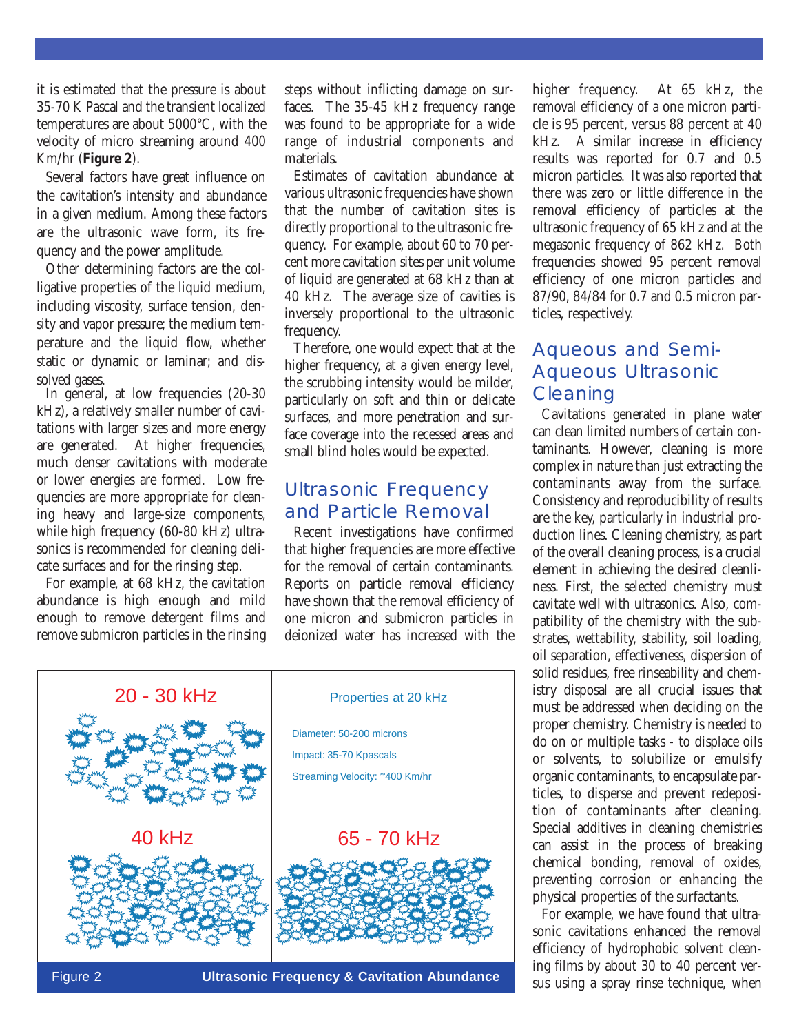it is estimated that the pressure is about 35-70 K Pascal and the transient localized temperatures are about 5000°C, with the velocity of micro streaming around 400 Km/hr (**Figure 2**).

Several factors have great influence on the cavitation's intensity and abundance in a given medium. Among these factors are the ultrasonic wave form, its frequency and the power amplitude.

Other determining factors are the colligative properties of the liquid medium, including viscosity, surface tension, density and vapor pressure; the medium temperature and the liquid flow, whether static or dynamic or laminar; and dissolved gases.

In general, at low frequencies (20-30 kHz), a relatively smaller number of cavitations with larger sizes and more energy are generated. At higher frequencies, much denser cavitations with moderate or lower energies are formed. Low frequencies are more appropriate for cleaning heavy and large-size components, while high frequency (60-80 kHz) ultrasonics is recommended for cleaning delicate surfaces and for the rinsing step.

For example, at 68 kHz, the cavitation abundance is high enough and mild enough to remove detergent films and remove submicron particles in the rinsing steps without inflicting damage on surfaces. The 35-45 kHz frequency range was found to be appropriate for a wide range of industrial components and materials.

Estimates of cavitation abundance at various ultrasonic frequencies have shown that the number of cavitation sites is directly proportional to the ultrasonic frequency. For example, about 60 to 70 percent more cavitation sites per unit volume of liquid are generated at 68 kHz than at 40 kHz. The average size of cavities is inversely proportional to the ultrasonic frequency.

Therefore, one would expect that at the higher frequency, at a given energy level, the scrubbing intensity would be milder, particularly on soft and thin or delicate surfaces, and more penetration and surface coverage into the recessed areas and small blind holes would be expected.

#### Ultrasonic Frequency and Particle Removal

Recent investigations have confirmed that higher frequencies are more effective for the removal of certain contaminants. Reports on particle removal efficiency have shown that the removal efficiency of one micron and submicron particles in deionized water has increased with the



Figure 2 **Ultrasonic Frequency & Cavitation Abundance**

higher frequency. At 65 kHz, the removal efficiency of a one micron particle is 95 percent, versus 88 percent at 40 kHz. A similar increase in efficiency results was reported for 0.7 and 0.5 micron particles. It was also reported that there was zero or little difference in the removal efficiency of particles at the ultrasonic frequency of 65 kHz and at the megasonic frequency of 862 kHz. Both frequencies showed 95 percent removal efficiency of one micron particles and 87/90, 84/84 for 0.7 and 0.5 micron particles, respectively.

# Aqueous and Semi-Aqueous Ultrasonic **Cleaning**

Cavitations generated in plane water can clean limited numbers of certain contaminants. However, cleaning is more complex in nature than just extracting the contaminants away from the surface. Consistency and reproducibility of results are the key, particularly in industrial production lines. Cleaning chemistry, as part of the overall cleaning process, is a crucial element in achieving the desired cleanliness. First, the selected chemistry must cavitate well with ultrasonics. Also, compatibility of the chemistry with the substrates, wettability, stability, soil loading, oil separation, effectiveness, dispersion of solid residues, free rinseability and chemistry disposal are all crucial issues that must be addressed when deciding on the proper chemistry. Chemistry is needed to do on or multiple tasks - to displace oils or solvents, to solubilize or emulsify organic contaminants, to encapsulate particles, to disperse and prevent redeposition of contaminants after cleaning. Special additives in cleaning chemistries can assist in the process of breaking chemical bonding, removal of oxides, preventing corrosion or enhancing the physical properties of the surfactants.

For example, we have found that ultrasonic cavitations enhanced the removal efficiency of hydrophobic solvent cleaning films by about 30 to 40 percent versus using a spray rinse technique, when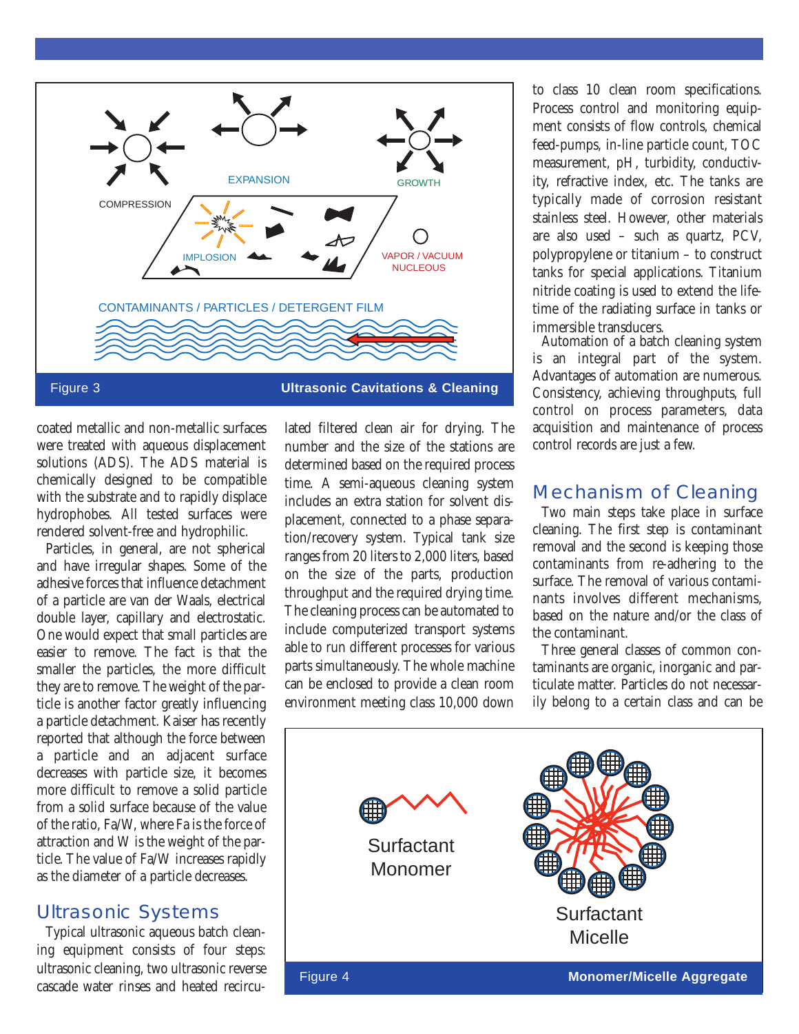

coated metallic and non-metallic surfaces were treated with aqueous displacement solutions (ADS). The ADS material is chemically designed to be compatible with the substrate and to rapidly displace hydrophobes. All tested surfaces were rendered solvent-free and hydrophilic.

Particles, in general, are not spherical and have irregular shapes. Some of the adhesive forces that influence detachment of a particle are van der Waals, electrical double layer, capillary and electrostatic. One would expect that small particles are easier to remove. The fact is that the smaller the particles, the more difficult they are to remove. The weight of the particle is another factor greatly influencing a particle detachment. Kaiser has recently reported that although the force between a particle and an adjacent surface decreases with particle size, it becomes more difficult to remove a solid particle from a solid surface because of the value of the ratio, Fa/W, where Fa is the force of attraction and W is the weight of the particle. The value of Fa/W increases rapidly as the diameter of a particle decreases.

#### Ultrasonic Systems

Typical ultrasonic aqueous batch cleaning equipment consists of four steps: ultrasonic cleaning, two ultrasonic reverse cascade water rinses and heated recirculated filtered clean air for drying. The number and the size of the stations are determined based on the required process time. A semi-aqueous cleaning system includes an extra station for solvent displacement, connected to a phase separation/recovery system. Typical tank size ranges from 20 liters to 2,000 liters, based on the size of the parts, production throughput and the required drying time. The cleaning process can be automated to include computerized transport systems able to run different processes for various parts simultaneously. The whole machine can be enclosed to provide a clean room environment meeting class 10,000 down

to class 10 clean room specifications. Process control and monitoring equipment consists of flow controls, chemical feed-pumps, in-line particle count, TOC measurement, pH, turbidity, conductivity, refractive index, etc. The tanks are typically made of corrosion resistant stainless steel. However, other materials are also used – such as quartz, PCV, polypropylene or titanium – to construct tanks for special applications. Titanium nitride coating is used to extend the lifetime of the radiating surface in tanks or immersible transducers.

Automation of a batch cleaning system is an integral part of the system. Advantages of automation are numerous. Consistency, achieving throughputs, full control on process parameters, data acquisition and maintenance of process control records are just a few.

#### Mechanism of Cleaning

Two main steps take place in surface cleaning. The first step is contaminant removal and the second is keeping those contaminants from re-adhering to the surface. The removal of various contaminants involves different mechanisms, based on the nature and/or the class of the contaminant.

Three general classes of common contaminants are organic, inorganic and particulate matter. Particles do not necessarily belong to a certain class and can be

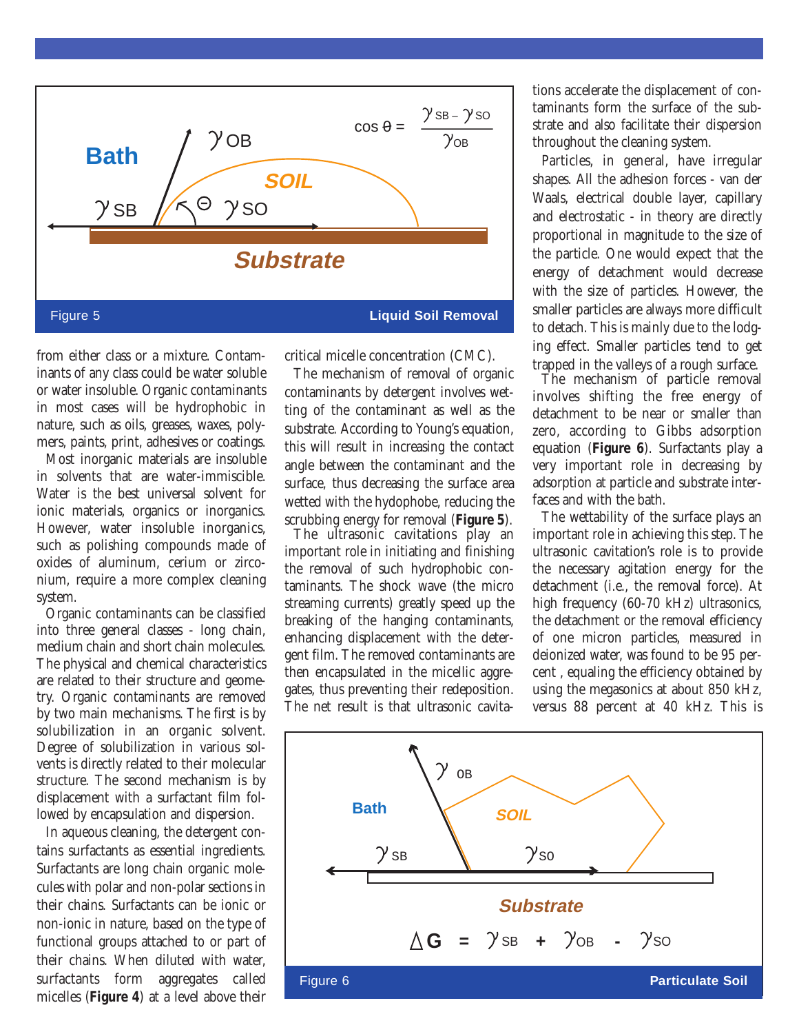

from either class or a mixture. Contaminants of any class could be water soluble or water insoluble. Organic contaminants in most cases will be hydrophobic in nature, such as oils, greases, waxes, polymers, paints, print, adhesives or coatings.

Most inorganic materials are insoluble in solvents that are water-immiscible. Water is the best universal solvent for ionic materials, organics or inorganics. However, water insoluble inorganics, such as polishing compounds made of oxides of aluminum, cerium or zirconium, require a more complex cleaning system.

Organic contaminants can be classified into three general classes - long chain, medium chain and short chain molecules. The physical and chemical characteristics are related to their structure and geometry. Organic contaminants are removed by two main mechanisms. The first is by solubilization in an organic solvent. Degree of solubilization in various solvents is directly related to their molecular structure. The second mechanism is by displacement with a surfactant film followed by encapsulation and dispersion.

In aqueous cleaning, the detergent contains surfactants as essential ingredients. Surfactants are long chain organic molecules with polar and non-polar sections in their chains. Surfactants can be ionic or non-ionic in nature, based on the type of functional groups attached to or part of their chains. When diluted with water, surfactants form aggregates called micelles (**Figure 4**) at a level above their

critical micelle concentration (CMC).

The mechanism of removal of organic contaminants by detergent involves wetting of the contaminant as well as the substrate. According to Young's equation, this will result in increasing the contact angle between the contaminant and the surface, thus decreasing the surface area wetted with the hydophobe, reducing the scrubbing energy for removal (**Figure 5**).

The ultrasonic cavitations play an important role in initiating and finishing the removal of such hydrophobic contaminants. The shock wave (the micro streaming currents) greatly speed up the breaking of the hanging contaminants, enhancing displacement with the detergent film. The removed contaminants are then encapsulated in the micellic aggregates, thus preventing their redeposition. The net result is that ultrasonic cavitations accelerate the displacement of contaminants form the surface of the substrate and also facilitate their dispersion throughout the cleaning system.

Particles, in general, have irregular shapes. All the adhesion forces - van der Waals, electrical double layer, capillary and electrostatic - in theory are directly proportional in magnitude to the size of the particle. One would expect that the energy of detachment would decrease with the size of particles. However, the smaller particles are always more difficult to detach. This is mainly due to the lodging effect. Smaller particles tend to get trapped in the valleys of a rough surface.

The mechanism of particle removal involves shifting the free energy of detachment to be near or smaller than zero, according to Gibbs adsorption equation (**Figure 6**). Surfactants play a very important role in decreasing by adsorption at particle and substrate interfaces and with the bath.

The wettability of the surface plays an important role in achieving this step. The ultrasonic cavitation's role is to provide the necessary agitation energy for the detachment (i.e., the removal force). At high frequency (60-70 kHz) ultrasonics, the detachment or the removal efficiency of one micron particles, measured in deionized water, was found to be 95 percent , equaling the efficiency obtained by using the megasonics at about 850 kHz, versus 88 percent at 40 kHz. This is